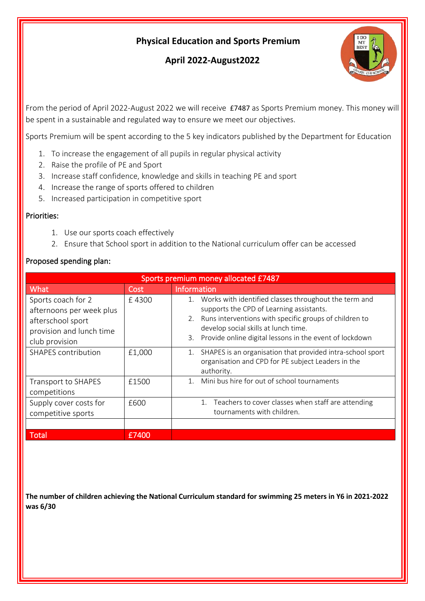## **Physical Education and Sports Premium**

# **April 2022-August2022**



From the period of April 2022-August 2022 we will receive £7487 as Sports Premium money. This money will be spent in a sustainable and regulated way to ensure we meet our objectives.

Sports Premium will be spent according to the 5 key indicators published by the Department for Education

- 1. To increase the engagement of all pupils in regular physical activity
- 2. Raise the profile of PE and Sport
- 3. Increase staff confidence, knowledge and skills in teaching PE and sport
- 4. Increase the range of sports offered to children
- 5. Increased participation in competitive sport

#### Priorities:

- 1. Use our sports coach effectively
- 2. Ensure that School sport in addition to the National curriculum offer can be accessed

#### Proposed spending plan:

| Sports premium money allocated E7487                                                                              |        |                                                                                                                                                                                                                                                                            |  |
|-------------------------------------------------------------------------------------------------------------------|--------|----------------------------------------------------------------------------------------------------------------------------------------------------------------------------------------------------------------------------------------------------------------------------|--|
| What                                                                                                              | Cost   | <b>Information</b>                                                                                                                                                                                                                                                         |  |
| Sports coach for 2<br>afternoons per week plus<br>afterschool sport<br>provision and lunch time<br>club provision | £4300  | Works with identified classes throughout the term and<br>1.<br>supports the CPD of Learning assistants.<br>2. Runs interventions with specific groups of children to<br>develop social skills at lunch time.<br>3. Provide online digital lessons in the event of lockdown |  |
| <b>SHAPES</b> contribution                                                                                        | £1,000 | 1. SHAPES is an organisation that provided intra-school sport<br>organisation and CPD for PE subject Leaders in the<br>authority.                                                                                                                                          |  |
| Transport to SHAPES<br>competitions                                                                               | £1500  | 1. Mini bus hire for out of school tournaments                                                                                                                                                                                                                             |  |
| Supply cover costs for<br>competitive sports                                                                      | £600   | Teachers to cover classes when staff are attending<br>1.<br>tournaments with children.                                                                                                                                                                                     |  |
| <b>Total</b>                                                                                                      | £7400  |                                                                                                                                                                                                                                                                            |  |

**The number of children achieving the National Curriculum standard for swimming 25 meters in Y6 in 2021-2022 was 6/30**